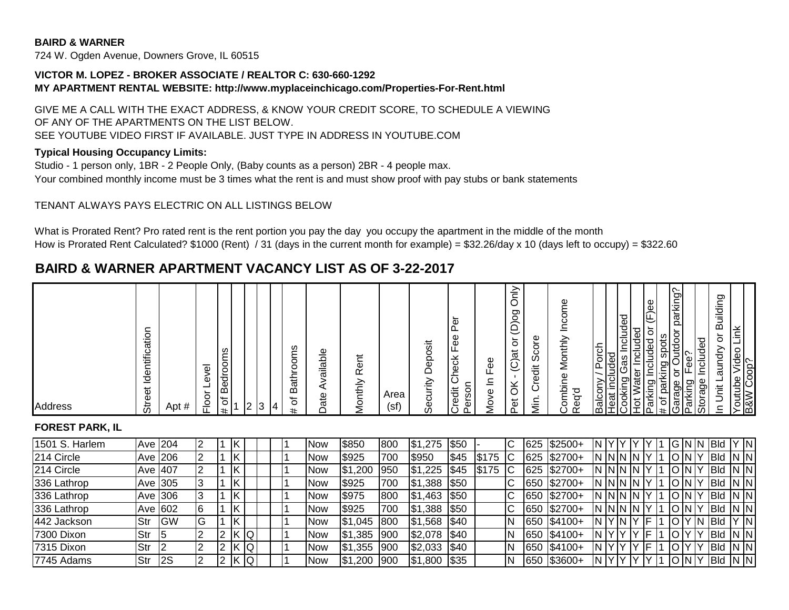#### **BAIRD & WARNER**

724 W. Ogden Avenue, Downers Grove, IL 60515

### **VICTOR M. LOPEZ - BROKER ASSOCIATE / REALTOR C: 630-660-1292 MY APARTMENT RENTAL WEBSITE: http://www.myplaceinchicago.com/Properties-For-Rent.html**

GIVE ME A CALL WITH THE EXACT ADDRESS, & KNOW YOUR CREDIT SCORE, TO SCHEDULE A VIEWING OF ANY OF THE APARTMENTS ON THE LIST BELOW. SEE YOUTUBE VIDEO FIRST IF AVAILABLE. JUST TYPE IN ADDRESS IN YOUTUBE.COM

### **Typical Housing Occupancy Limits:**

Studio - 1 person only, 1BR - 2 People Only, (Baby counts as a person) 2BR - 4 people max. Your combined monthly income must be 3 times what the rent is and must show proof with pay stubs or bank statements

### TENANT ALWAYS PAYS ELECTRIC ON ALL LISTINGS BELOW

What is Prorated Rent? Pro rated rent is the rent portion you pay the day you occupy the apartment in the middle of the month How is Prorated Rent Calculated? \$1000 (Rent) / 31 (days in the current month for example) = \$32.26/day x 10 (days left to occupy) = \$322.60

# **BAIRD & WARNER APARTMENT VACANCY LIST AS OF 3-22-2017**

| <b>Address</b>                                                                                                                                   |
|--------------------------------------------------------------------------------------------------------------------------------------------------|
|                                                                                                                                                  |
| tior<br>ΩQ<br>htific<br>lder<br>ຈັ                                                                                                               |
| Apt #                                                                                                                                            |
| $\overline{\Phi}$<br>Φ<br>১<br>으                                                                                                                 |
| edrooms<br>l m<br>৳<br>#                                                                                                                         |
| 2                                                                                                                                                |
| $\vert 3$<br>14                                                                                                                                  |
| ဖ<br>ਨ<br>-<br>ੋਲ<br>മ<br>৳<br>#                                                                                                                 |
| Jdabi<br>ω<br>؎<br>ά<br>≏                                                                                                                        |
| ⊭<br>ه<br>$\alpha$<br>/lonthly<br>⋍                                                                                                              |
| Area<br>(sf)                                                                                                                                     |
| osit<br>မြ<br>≏<br>ecurity<br>ഗ                                                                                                                  |
| Φ<br>ᄔ<br>Φ<br>Ō<br>щ<br>heck<br>ပ<br>᠆<br>š<br>redit<br>৳<br>ပ                                                                                  |
| Φ.<br>ட<br>-<br>≐<br>Ф<br>Ś<br>⋍                                                                                                                 |
| ≧<br>pod<br>$\overline{5}$<br>(C)at<br>$\delta$<br>đ<br>௨                                                                                        |
| Φ<br>Scor<br>も<br>Φ<br>؎<br>ပ<br>ίñ.<br>Σ                                                                                                        |
| Φ<br>ncom<br>–<br>Monthly<br>ombine<br>P<br>ᡖ<br>Φ<br>$\alpha$                                                                                   |
| ony / Porch<br>included<br>ing Gas Inc<br><b>Balcony</b>                                                                                         |
| Included<br>Included<br>Water<br>Heat incli<br>Cooking<br>불                                                                                      |
| (F)ee<br>Included or<br>arking I<br>- בו                                                                                                         |
| ic.<br>$\sigma$<br>parking<br>king<br>  parking spل<br>  ro Outdoor<br>Fee?<br><del># of parking</del><br>Garage or<br>Parking Fe<br>Storage Inc |
| Included                                                                                                                                         |
| Building<br>៦<br>aundry<br>⊣<br>ji<br>$\equiv$                                                                                                   |
| Link<br>$\frac{1}{2}$<br>Youtube Vic<br>B&W Coop?                                                                                                |
|                                                                                                                                                  |

## **FOREST PARK, IL**

| 1501 S. Harlem | Ave 204    |           |    |   |    |          |  | <b>NOW</b> | \$850        | 800  | ,275<br>IS 1  | \$50       |       |        | 625  | $$2500+$           |          |              |    |  | <b>GNN</b> |     | <b>IBId</b> |       |
|----------------|------------|-----------|----|---|----|----------|--|------------|--------------|------|---------------|------------|-------|--------|------|--------------------|----------|--------------|----|--|------------|-----|-------------|-------|
| 214 Circle     |            | Ave 206   |    |   |    |          |  | <b>Now</b> | \$925        | 700  | \$950         | \$45       | \$175 | ТC     | 625  | $$2700+$           |          | I ININ IN    |    |  |            |     | <b>IBId</b> | IN IN |
| 214 Circle     | Ave 407    |           | 12 |   |    |          |  | <b>Now</b> | ,200<br>I\$1 | 1950 | \$1,225       | \$45       | \$175 | ТC     | 625  | $\frac{1}{2}2700+$ |          | I ININ IN IY |    |  | <b>ONY</b> |     | <b>IBId</b> | IN IN |
| 336 Lathrop    | Ave 305    |           |    |   | ΙK |          |  | <b>Now</b> | \$925        | 700  | ,388<br> \$1" | \$50       |       | $\sim$ | 650  | $$2700+$           |          | I ININ IN    |    |  |            |     | <b>BId</b>  | IN IN |
| 336 Lathrop    | Ave 306    |           |    |   |    |          |  | <b>Now</b> | <b>S975</b>  | 800  | \$1,463       | \$50       |       | IС     | 1650 | $$2700+$           |          | INN IN       |    |  | ١N         |     | <b>IBId</b> | IN IN |
| 336 Lathrop    | Ave 602    |           | 16 |   | ΙK |          |  | <b>Now</b> | \$925        | 700  | \$1,388       | \$50       |       | IС     |      | 650 \$2700+        |          | I NN N       |    |  | ١N         |     | <b>IBId</b> | IN IN |
| 442 Jackson    | Str        | <b>GW</b> | IG |   | ΙK |          |  | <b>Now</b> | I\$1<br>,045 | 1800 | \$1,568       | \$40       |       | IN     | 650  | $$4100+$           |          | ⊣V ∶<br>'IN  | IF |  |            | IN. | <b>BId</b>  |       |
| 7300 Dixon     | <b>Str</b> | 15        | I2 |   |    | <b>O</b> |  | Now        | ,385<br>IS 1 | 1900 | \$2,078       | <b>S40</b> |       |        | 1650 | $$4100+$           |          | עו           |    |  |            |     | <b>IBId</b> | IN IN |
| 7315 Dixon     | Str        |           | 12 |   |    | <b>Q</b> |  | <b>Now</b> | I\$1<br>,355 | 900  | \$2,033       | \$40       |       |        | 650  | $\sqrt{$4100+}$    |          | ιv           |    |  |            |     | <b>Bld</b>  | IN IN |
| 7745 Adams     | Str        | I2S       |    | ▵ |    | <b>O</b> |  | <b>Now</b> | ,200<br>IS1  | 1900 | \$1,800       | \$35       |       |        | 650  | $\$3600+$          | IN<br>⊣∨ |              |    |  | 'IN IY     |     | <b>IBId</b> | IN IN |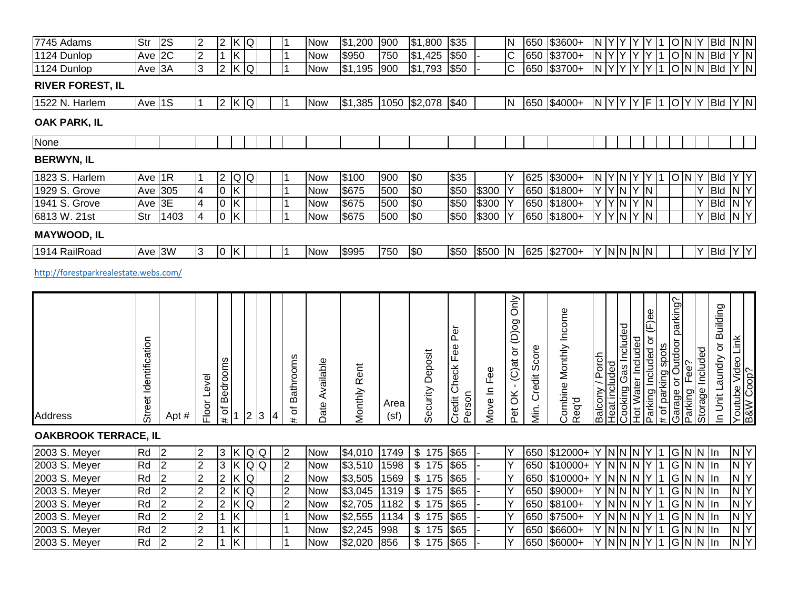| 7745 Adams                            | Str                   | 2S                               | $\overline{2}$                   | $\overline{2}$     | K Q                          |                |   | 11                         | <b>Now</b>               | \$1,200            | 900          | \$1,800                | \$35                              |             | N                                       | 650               | \$3600+                         | N <sub>Y</sub>                |               | Y.                      | Y                       | $ \bar{Y} $                  | $\overline{1}$     |                            | O N Y           | Bld                                                | N N                              |   |
|---------------------------------------|-----------------------|----------------------------------|----------------------------------|--------------------|------------------------------|----------------|---|----------------------------|--------------------------|--------------------|--------------|------------------------|-----------------------------------|-------------|-----------------------------------------|-------------------|---------------------------------|-------------------------------|---------------|-------------------------|-------------------------|------------------------------|--------------------|----------------------------|-----------------|----------------------------------------------------|----------------------------------|---|
| 1124 Dunlop                           | Ave 2C                |                                  | $\overline{2}$                   | $\overline{1}$     | $\overline{\mathsf{K}}$      |                |   | $\overline{1}$             | <b>Now</b>               | \$950              | 750          | \$1,425                | \$50                              |             | $\overline{C}$                          | 650               | \$3700+                         | N Y                           |               | Y                       | Υ                       | Y                            | $\mathbf 1$        |                            |                 | $O N N B$ ld                                       | $Y$ N                            |   |
| 1124 Dunlop                           | Ave 3A                |                                  | 3                                | $\overline{2}$     | $\overline{\mathsf{x}}$      | Q              |   | $\overline{1}$             | <b>Now</b>               | \$1,195            | 900          | \$1,793                | \$50                              |             | $\overline{\text{c}}$                   | 650               | \$3700+                         | N.                            | Y             | Y                       | Y                       | Y                            |                    |                            |                 | ONN Bld                                            | $Y$ N                            |   |
| <b>RIVER FOREST, IL</b>               |                       |                                  |                                  |                    |                              |                |   |                            |                          |                    |              |                        |                                   |             |                                         |                   |                                 |                               |               |                         |                         |                              |                    |                            |                 |                                                    |                                  |   |
| 1522 N. Harlem                        | Ave 1S                |                                  | ∣1                               |                    | $2$ K Q                      |                |   | 11                         | <b>Now</b>               | \$1,385            |              | 1050 \$2,078           | \$40                              |             | N                                       |                   | 650 \$4000+                     |                               |               |                         |                         |                              |                    |                            |                 | N  Y  Y  Y  F  1  O  Y  Y  Bld                     | Y N                              |   |
| OAK PARK, IL                          |                       |                                  |                                  |                    |                              |                |   |                            |                          |                    |              |                        |                                   |             |                                         |                   |                                 |                               |               |                         |                         |                              |                    |                            |                 |                                                    |                                  |   |
| None                                  |                       |                                  |                                  |                    |                              |                |   |                            |                          |                    |              |                        |                                   |             |                                         |                   |                                 |                               |               |                         |                         |                              |                    |                            |                 |                                                    |                                  |   |
| <b>BERWYN, IL</b>                     |                       |                                  |                                  |                    |                              |                |   |                            |                          |                    |              |                        |                                   |             |                                         |                   |                                 |                               |               |                         |                         |                              |                    |                            |                 |                                                    |                                  |   |
| 1823 S. Harlem                        | Ave 1R                |                                  | $\vert$ 1                        | $\overline{c}$     | QQ                           |                |   | 11                         | <b>Now</b>               | \$100              | 900          | \$0                    | \$35                              |             | Υ                                       | 625               | $$3000+$                        | N Y                           |               | IN.                     |                         | Y                            |                    |                            | ONY             | <b>Bld</b>                                         | Y Y                              |   |
| 1929 S. Grove                         | Ave                   | 305                              | $\overline{4}$                   | $\overline{0}$     | $\overline{\mathsf{K}}$      |                |   | I1                         | <b>Now</b>               | \$675              | 500          | \$0                    | \$50                              | \$300       | Y                                       | 650               | $$1800+$                        | YY                            |               | $\overline{\mathsf{N}}$ | $Y$ N                   |                              |                    |                            | Y               | <b>Bld</b>                                         | N <sub>Y</sub>                   |   |
| 1941 S. Grove                         | Ave                   | 3E                               | $\overline{\mathbf{4}}$          | $\pmb{0}$          | Κ                            |                |   | $\overline{1}$             | <b>Now</b>               | \$675              | 500          | $\sqrt{6}$             | \$50                              | \$300       | Y                                       | 650               | $$1800+$                        | $\overline{Y}$ Y              |               | IN.                     | Y N                     |                              |                    |                            |                 | Y<br><b>Bld</b>                                    | N <sub>Y</sub>                   |   |
| 6813 W. 21st                          | Str                   | 1403                             | $\overline{4}$                   | $\overline{0}$     | $\overline{K}$               |                |   | 11                         | <b>Now</b>               | \$675              | 500          | \$0                    | \$50                              | \$300       | Y                                       | 650               | $$1800+$                        | $\overline{Y}$ $\overline{Y}$ |               | $\overline{\mathsf{N}}$ | Y                       | $\overline{\mathsf{N}}$      |                    |                            | Y               | <b>Bld</b>                                         | N <sub>Y</sub>                   |   |
| <b>MAYWOOD, IL</b>                    |                       |                                  |                                  |                    |                              |                |   |                            |                          |                    |              |                        |                                   |             |                                         |                   |                                 |                               |               |                         |                         |                              |                    |                            |                 |                                                    |                                  |   |
| 1914 RailRoad                         | Ave $3\overline{W}$   |                                  | 3                                |                    | 0K                           |                |   | l 1                        | <b>Now</b>               | \$995              | 750          | \$0                    | \$50                              | \$500       | IN.                                     |                   | 625 \$2700+                     |                               |               | $Y$ NN N N              |                         |                              |                    |                            |                 | Y Bld                                              | Y Y                              |   |
| http://forestparkrealestate.webs.com/ |                       |                                  |                                  |                    |                              |                |   |                            |                          |                    |              |                        |                                   |             |                                         |                   |                                 |                               |               |                         |                         |                              |                    |                            |                 |                                                    |                                  |   |
|                                       |                       |                                  |                                  |                    |                              |                |   |                            |                          |                    |              |                        |                                   |             |                                         |                   |                                 |                               |               |                         |                         |                              |                    |                            |                 |                                                    |                                  |   |
| <b>Address</b>                        | Street Identification | Apt #                            | Level<br>Floor                   | Bedrooms<br>đ<br># |                              | 2 <br>3        | 4 | <b>Bathrooms</b><br>৳<br># | Date Available           | Monthly Rent       | Area<br>(sf) | Security Deposit       | Per<br>Credit Check Fee<br>Person | Move In Fee | ðnly<br>$-C$ ) at or $(D)$ og<br>Pet OK | Min. Credit Score | Combine Monthly Income<br>Req'd | Balcony / Porch               | Heat included | Gas Included<br>Cooking | Hot Water Included      | (F)ee<br>Parking Included or | # of parking spots | Garage or Outdoor parking? | Fee?<br>Parking | or Building<br>Storage Included<br>In Unit Laundry | Youtube Video Link<br>B&W Coop?  |   |
| <b>OAKBROOK TERRACE, IL</b>           |                       |                                  |                                  |                    |                              |                |   |                            |                          |                    |              |                        |                                   |             |                                         |                   |                                 |                               |               |                         |                         |                              |                    |                            |                 |                                                    |                                  |   |
| 2003 S. Meyer                         | Rd                    | 2                                | $\overline{2}$                   | 3                  | K                            | Q Q            |   | $\overline{2}$             | <b>Now</b>               | \$4,010            | 1749         | \$<br>$\frac{175}{ }$  | \$65                              |             | Υ                                       | 650               | \$12000+                        | $Y$ N                         |               | <b>N</b>                | N <sub>Y</sub>          |                              | 1                  |                            |                 | G N N In                                           | N <sub>Y</sub>                   |   |
| 2003 S. Meyer                         | Rd                    | 2                                | $\overline{2}$                   | $\overline{3}$     | $\overline{\mathsf{x}}$      | $\frac{1}{2}$  |   | $\overline{2}$             | <b>Now</b>               | \$3,510            | 1598         | \$<br>$\overline{175}$ | \$65                              |             | Y                                       | 650               | $$10000+$                       | $\overline{Y}$ N              |               | IN.                     | N                       |                              | 1                  |                            |                 | $G$ N N $\ln$                                      | N <sub>Y</sub>                   |   |
| 2003 S. Meyer                         | Rd                    | $\overline{2}$                   | $\overline{2}$                   | $\overline{2}$     | $\overline{K}$               | $\overline{Q}$ |   | $\overline{2}$             | <b>Now</b>               | \$3,505            | 1569         | \$<br>175              | \$65                              |             | Y                                       | 650               | $$10000+$                       | Y                             | <b>N</b>      | N                       | $\overline{\mathsf{z}}$ | Y                            |                    | G N                        |                 | N In                                               | $\overline{\mathsf{N}}$          | Υ |
| 2003 S. Meyer                         | Rd                    | $\overline{2}$                   | $\overline{2}$                   | $\overline{2}$     | $\overline{\mathsf{K}}$      | $\overline{Q}$ |   | $\overline{2}$             | <b>Now</b>               | \$3,045            | 1319         | \$<br>$\frac{175}{ }$  | \$65                              |             | Y                                       | 650               | \$9000+                         | $\overline{Y}$ N              |               | N                       | IN I                    | Υ                            | 1                  | G N                        |                 | $N$ In                                             | $\overline{N}$                   |   |
| 2003 S. Meyer                         | Rd                    | $\overline{2}$                   | $\overline{2}$                   | $\overline{2}$     | $\overline{\mathsf{K}}$      | Q              |   | $\overline{2}$             | <b>Now</b>               | \$2,705            | 1182         | \$<br>175              | \$65                              |             | Y                                       | 650               | \$8100+                         | Y N                           |               | ΙN                      | N <sub>Y</sub>          |                              | 1                  | G N                        |                 | $N \ln$                                            | $\overline{N}$                   |   |
| 2003 S. Meyer                         | Rd                    | $\overline{2}$                   | $\overline{2}$                   | $\vert$ 1          | Κ                            |                |   | $\overline{1}$             | <b>Now</b>               | \$2,555            | 1134         | \$<br>175              | \$65                              |             | Y                                       | 650               | \$7500+                         | $\overline{Y}$ N              |               | N                       | N <sub>Y</sub>          |                              | 1                  | GN                         |                 | $N$ In                                             | $\overline{N}$                   |   |
| 2003 S. Meyer<br>2003 S. Meyer        | Rd<br>Rd              | $\overline{2}$<br>$\overline{2}$ | $\overline{2}$<br>$\overline{2}$ | $\vert$ 1          | $\overline{\mathsf{K}}$<br>Κ |                |   | 11<br>$\overline{1}$       | <b>Now</b><br><b>Now</b> | \$2,245<br>\$2,020 | 998<br>856   | \$<br>175<br>\$<br>175 | \$65<br>\$65                      |             | Υ<br>Y                                  | 650<br>650        | \$6600+<br>\$6000+              | Y N                           |               | N<br>$Y$ N N N Y        | $\mathsf{N}$            |                              | $\mathbf 1$        | G N                        |                 | $N$ In<br>G N N In                                 | $\overline{N}$<br>N <sub>Y</sub> |   |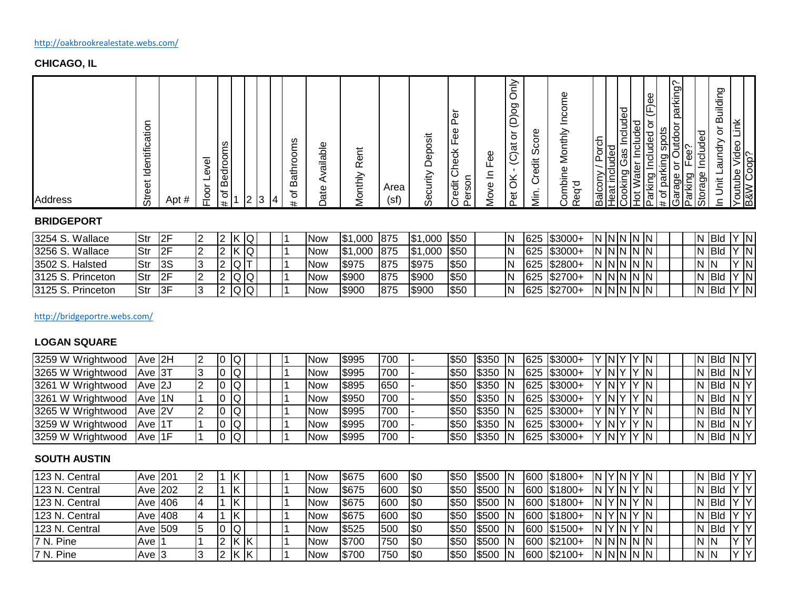# **CHICAGO, IL**

| <b>Address</b>                                                                                                   |
|------------------------------------------------------------------------------------------------------------------|
| -<br>Identification<br>Street                                                                                    |
| #<br>Apt                                                                                                         |
| ত্<br>õ<br>ᅳ<br>১<br>으<br>ட                                                                                      |
| Bedrooms<br>৳<br>#                                                                                               |
| 2                                                                                                                |
| $\bullet$<br>ు                                                                                                   |
| oms<br>o<br>athr<br>മ<br>৳<br>#                                                                                  |
| ailable<br>c<br>ate                                                                                              |
| Rent<br>≧<br>Vlonth                                                                                              |
| Area<br>(sf)                                                                                                     |
| Deposit<br>ecurity<br>ω                                                                                          |
| ∽<br>Φ<br>௳<br>Φ<br>֎<br>heck<br>$\div$<br>$\check{ }$<br>$\overline{\phantom{0}}$<br>ā<br>redit<br>٥<br>Δ       |
| 99<br>щ<br>$\overline{\phantom{0}}$<br>∸<br>Ф<br>ŠΣ                                                              |
| $\geq$<br>◡<br>pod<br>$\overline{5}$<br>(C)at<br>ă<br>$\vec{e}$<br>$\Omega$                                      |
| Φ<br>ă<br>တိ<br>も<br>Ф<br>ပ်<br><b>Nin</b>                                                                       |
| Φ<br>Incom<br>Monthly<br>ombine<br>ᡋ<br>Φ<br>$\alpha$                                                            |
| Balcony / Porch<br>Heat included                                                                                 |
| Included<br>ter Included<br>Included or<br>cas<br>Water<br>$\check{ }$<br>buryoo;<br>lot Wat<br>arking<br>÷<br>ပ |
| $(e)$ ee<br>$\overline{\sigma}$<br>பட<br>ᅭ                                                                       |
| f parking spots<br>rage or Outdoor parking?<br>rking _Eee?<br>Garage<br>Parking                                  |
| Storage                                                                                                          |
| ႒<br>Buildin<br>$\overline{\sigma}$<br>youna.<br>ᆜ<br>j<br>≐                                                     |
| Link<br>Youtube Video I<br>B&W Coop?                                                                             |

## **BRIDGEPORT**

| 13254 S. Wallace   | IStr | 2F    |  | ⊥K ∶  | K IQ |  | Now        | ,000 875<br>IS 1 |      | \$1,000      | ∣\$50 | ΙN | $625$ $$3000+$  | NNNNN          |  |  |  | ' IBId | Y IN      |
|--------------------|------|-------|--|-------|------|--|------------|------------------|------|--------------|-------|----|-----------------|----------------|--|--|--|--------|-----------|
| 13256 S. Wallace   | IStr | - I2F |  | ıK.   |      |  | Now        | ,000<br>\$1      | 875  | ,000<br>IS 1 | \$50  | IN | $ 625 $ \$3000+ | IN ININ IN IN  |  |  |  | ∣Bld   | 'IN       |
| 3502 S. Halsted    | Str  | 3S    |  | -Q IT |      |  |            | \$975            | 875  | \$975        | \$50  | IN | 625 \$2800+     | IN IN IN IN IN |  |  |  | 'N IN  | <b>IN</b> |
| 13125 S. Princeton |      | 2F    |  |       | QQ   |  | Now        | \$900            | 1875 | \$900        | \$50  | IN | 625 \$2700+     | NNNNN          |  |  |  | ∣ IBId | Y N       |
| 3125 S. Princeton  | Str  | 3F    |  |       | Q Q  |  | <b>Now</b> | \$900            | 875  | \$900        | \$50  | IN | 625 \$2700+     | NNNNN          |  |  |  | ∣  Bld | Y N       |

### <http://bridgeportre.webs.com/>

### **LOGAN SQUARE**

| 3259 W Wrightwood | IAve I2H        |  | 10 | IQ.   |  |  | Now        | I\$995       | 1700 | <b>S50</b>  | <b>S</b> 350 | -IN | 625 \$3000+ | Y NIY  |       |  | TY IN |  | $N$ Bid $N$ $Y$ |  |
|-------------------|-----------------|--|----|-------|--|--|------------|--------------|------|-------------|--------------|-----|-------------|--------|-------|--|-------|--|-----------------|--|
| 3265 W Wrightwood | TAve I3T        |  |    | IQ.   |  |  | Now        | <b>S995</b>  | 1700 | <b>S</b> 50 | <b>S</b> 350 | -IN | 625 \$3000+ | Y INIY |       |  | IN.   |  | $N$ Bid $N$ $Y$ |  |
| 3261 W Wrightwood | Ave 2J          |  |    | IQ.   |  |  | Now        | <b>S895</b>  | 650  | \$50        | <b>S350</b>  | -IN | 625 \$3000+ |        | `INIY |  | `IN.  |  | $N$ Bid $N$ $Y$ |  |
| 3261 W Wrightwood | IAve I1N        |  |    | IQ.   |  |  | <b>Now</b> | <b>IS950</b> | 700  | \$50        | <b>S</b> 350 | -IN | 625 \$3000+ | Y NY   |       |  | IN.   |  | $N$ Bid $N$ $Y$ |  |
| 3265 W Wrightwood | <b>LAve I2V</b> |  |    | -IQ i |  |  | Now        | <b>IS995</b> | 700  | <b>S</b> 50 | <b>S350</b>  | -IN | 625 \$3000+ | Y INIY |       |  | IN.   |  | $N$ Bid $N$ $Y$ |  |
| 3259 W Wrightwood | TAve I1T        |  |    | IQ.   |  |  | Now        | <b>IS995</b> | 1700 | <b>S</b> 50 | <b>IS350</b> | -IN | 625 \$3000+ | Y INIY |       |  | `IN-  |  | N Bld N Y       |  |
| 3259 W Wrightwood | <b>Ave I1F</b>  |  |    | IQ.   |  |  | <b>Now</b> | <b>IS995</b> | 700  | \$50        | <b>S</b> 350 | -IN | 625 \$3000+ | Y NY   |       |  | 'IN I |  | $N$ Bid $N$ $Y$ |  |

# **SOUTH AUSTIN**

| 123 N. Central | Ave 201 |  |     |      |  | <b>NOW</b> | <b>S675</b> | 600  | 1\$0       | \$50 | <b>S500</b>  | IN  | 600  | $ $1800+$ | IN      | <b>IYM</b> |         | IN.     |  | IN Bld    | Y IY |                        |
|----------------|---------|--|-----|------|--|------------|-------------|------|------------|------|--------------|-----|------|-----------|---------|------------|---------|---------|--|-----------|------|------------------------|
| 123 N. Central | Ave 202 |  |     |      |  | <b>NOW</b> | <b>S675</b> | 600  | <b>ISO</b> | \$50 | <b>S500</b>  | IN  | 600  | $$1800+$  | ΙN      | IY IN      |         | IN.     |  | IN Bld    |      | ΙV                     |
| 123 N. Central | Ave 406 |  |     |      |  | <b>NOW</b> | 1\$675      | 600  | 1\$0       | \$50 | <b>S500</b>  | -IN | 600  | $$1800+$  | ΙN      | IY IN      |         | IN.     |  | IN Bld    |      |                        |
| 123 N. Central | Ave 408 |  |     |      |  | Now        | IS675       | 1600 | 1\$0       | \$50 | <b>IS500</b> | IN. | 600  | $$1800+$  | IN      | ' IY IN    |         | IN.     |  | IN Bld    |      |                        |
| 123 N. Central | Ave 509 |  | IQ. |      |  | <b>NOW</b> | <b>S525</b> | 500  | <b>ISO</b> | \$50 | IS500        | -IN | 1600 | $$1500+$  | ΙN      | ' IY IN    |         | IN.     |  | $N$ $Bld$ |      |                        |
| 7 N. Pine      | Ave I   |  |     | . IK |  | Now        | IS700       | 1750 | 1\$0       | \$50 | \$500        | IN. | 600  | $$2100+$  | IN ININ |            |         | . IN IN |  | IN IN     | עו   | $\mathsf{I}\mathsf{v}$ |
| 7 N. Pine      | Ave 13  |  |     | ΙK   |  | <b>Now</b> | \$700       | 750  | 1\$0       | \$50 | IS500        | -IN | 600  | $$2100+$  | ΙN      | ININ.      | I IN IN |         |  | IN IN     | v    | IV                     |